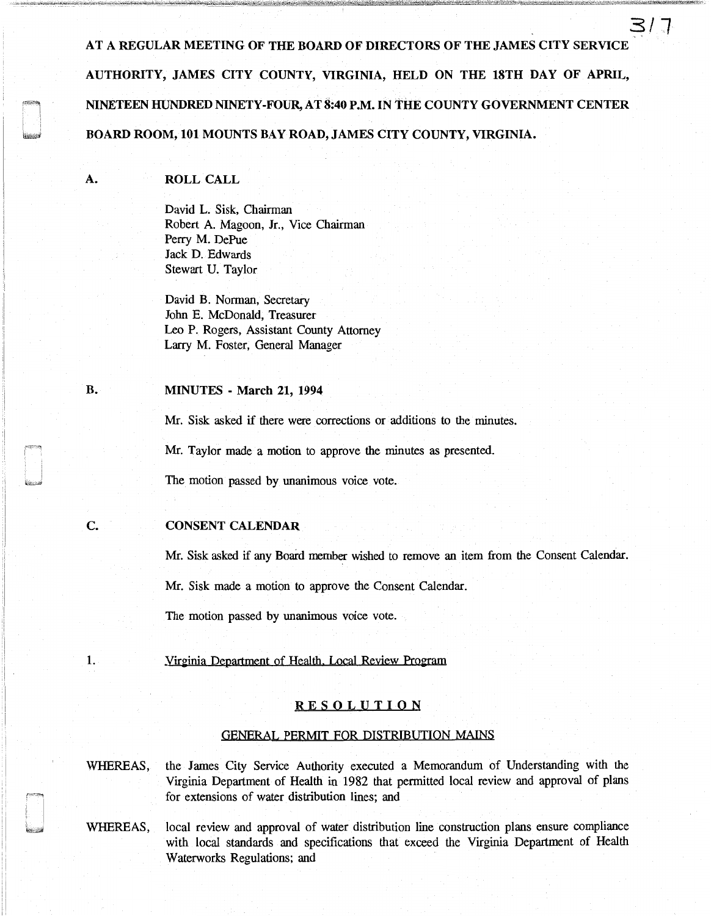AT A REGULAR MEETING OF THE BOARD OF DIRECTORS OF THE JAMES CITY SERVICE AUTHORITY, JAMES CITY COUNTY, VIRGINIA, HELD ON THE lSTH DAY OF APRIL, NINETEEN HUNDRED NINETY-FOUR, AT 8:40 P.M. IN THE COUNTY GOVERNMENT CENTER BOARD ROOM, 101 MOUNTS BAY ROAD, JAMES CITY COUNTY, VIRGINIA.

A.

1.

### ROLL CALL

David L. Sisk, Chairman Robert A. Magoon, Jr., Vice Chairman Perry M. DePue Jack D. Edwards Stewart U. Taylor

David B. Norman, Secretary John E. McDonald, Treasurer Leo P. Rogers, Assistant County Attorney Larry M. Foster, General Manager

#### B. MINUTES - March 21, 1994

Mr. Sisk asked if there were corrections or additions to the minutes.

Mr. Taylor made a motion to approve the minutes as presented.

The motion passed by unanimous voice vote.

#### c. CONSENT CALENDAR

Mr. Sisk asked if any Board member wished to remove an item from the Consent Calendar.

Mr. Sisk made a motion to approve the Consent Calendar.

The motion passed by unanimous voice vote.

### Virginia Department of Health. Local Review Program

### **RESOLUTION**

### GENERAL PERMIT FOR DISTRIBUTION MAINS

WHEREAS, the James City Service Authority executed a Memorandum of Understanding with the Virginia Department of Health in 1982 that permitted local review and approval of plans for extensions of water distribution lines; and

WHEREAS, local review and approval of water distribution line construction plans ensure compliance with local standards and specifications that exceed the Virginia Department of Health Waterworks Regulations; and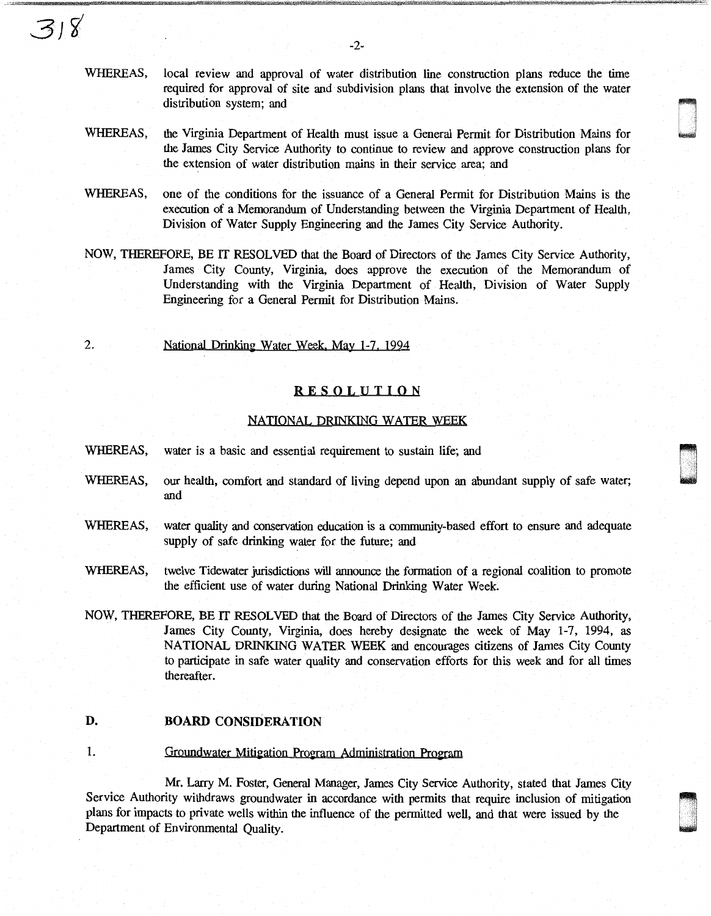$318$ 

WHEREAS, local review and approval of water distribution line construction plans reduce the time required for approval of site and subdivision plans that involve the extension of the water distribution system; and

WHEREAS, the Virginia Department of Health must issue a General Permit for Distribution Mains for the James City Service Authority to continue to review and approve construction plans for the extension of water distribution mains in their service area; and

- WHEREAS, one of the conditions for the issuance of a General Permit for Distribution Mains is the execution of a Memorandum of Understanding between the Virginia Department of Health, Division of Water Supply Engineering and the James City Service Authority.
- NOW, THEREFORE, BE IT RESOLVED that the Board of Directors of the James City Service Authority, James City County, Virginia, does approve the execution of the Memorandum of Understanding with the Virginia Department of Health, Division of Water Supply Engineering for a General Permit for Distribution Mains.

2. National Drinking Water Week. May 1-7. 1994

### **RESOLUTION**

### NATIONAL DRINKING WATER WEEK

- WHEREAS, water is a basic and essential requirement to sustain life; and
- WHEREAS, our health, comfort and standard of living depend upon an abundant supply of safe water; and
- WHEREAS, water quality and conservation education is a community-based effort to ensure and adequate supply of safe drinking water for the future; and
- WHEREAS, twelve Tidewater jurisdictions will announce the formation of a regional coalition to promote the efficient use of water during National Drinking Water Week.
- NOW, THEREFORE, BE IT RESOLVED that the Board of Directors of the James City Service Authority, James City County, Virginia, does hereby designate the week of May 1-7, 1994, as NATIONAL DRINKING WATER WEEK and encourages citizens of James City County to participate in safe water quality and conservation efforts for this week and for all times thereafter.

### D. BOARD CONSIDERATION

1. Groundwater Mitigation Program Administration Program

Mr. Larry M. Foster, General Manager, James City Service Authority, stated that James City Service Authority withdraws groundwater in accordance with permits that require inclusion of mitigation plans for impacts to private wells within the influence of the permitted well, and that were issued by the Department of Environmental Quality.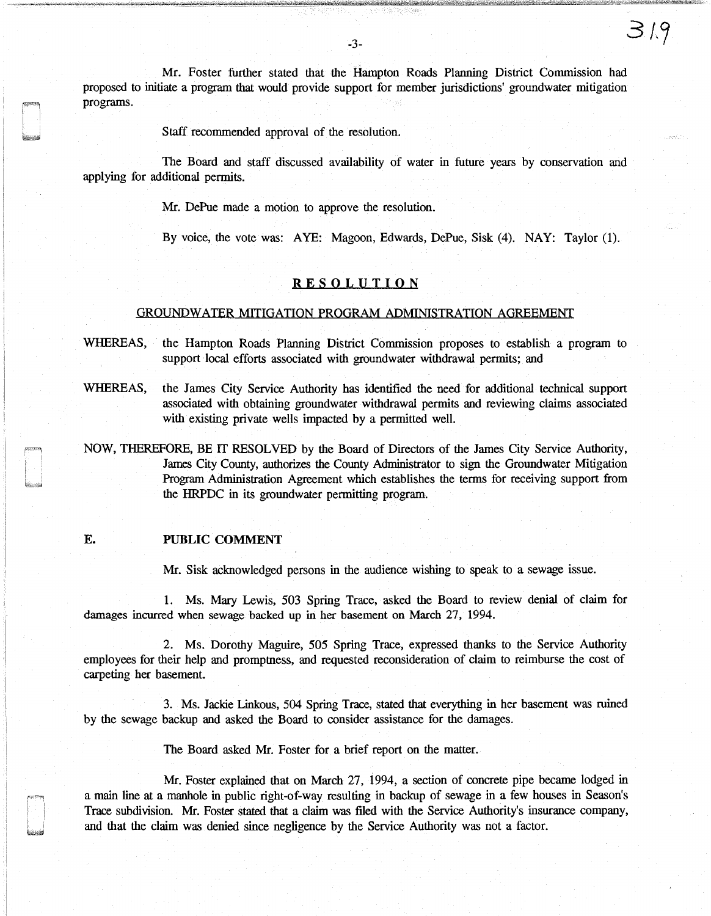Mr. Foster further stated that the Hampton Roads Planning District Commission had proposed to initiate a program that would provide support for member jurisdictions' groundwater mitigation programs.

Staff recommended approval of the resolution.

The Board and staff discussed availability of water in future years by conservation and applying for additional permits.

Mr. DePue made a motion to approve the resolution.

By voice, the vote was: A YE: Magoon, Edwards, DePue, Sisk (4). NAY: Taylor (1).

### **RESOLUTION**

#### GROUNDWATER MITIGATION PROGRAM APMINISIRATION AGREEMENT

- WHEREAS, the Hampton Roads Planning District Commission proposes to establish a program to support local efforts associated with groundwater withdrawal permits; and
- WHEREAS, the James City Service Authority has identified the need for additional technical support associated with obtaining groundwater withdrawal permits and reviewing claims associated with existing private wells impacted by a permitted well.
- NOW, THEREFORE, BE IT RESOLVED by the Board of Directors of the James City Service Authority, James City County, authorizes the County Administrator to sign the Groundwater Mitigation Program Administration Agreement which establishes the terms for receiving support from the HRPDC in its groundwater permitting program.

### E. PUBLIC COMMENT

Mr. Sisk acknowledged persons in the audience wishing to speak to a sewage issue.

1. Ms. Mary Lewis, 503 Spring Trace, asked the Board to review denial of claim for damages incurred when sewage backed up in her basement on March 27, 1994.

2. Ms. Dorothy Maguire, 505 Spring Trace, expressed thanks to the Service Authority employees for their help and promptness, and requested reconsideration of claim to reimburse the cost of carpeting her basement.

3. Ms. Jackie Linkous, 504 Spring Trace, stated that everything in her basement was ruined by the sewage backup and asked the Board to consider assistance for the damages.

The Board asked Mr. Foster for a brief report on the matter.

Mr. Foster explained that on March 27, 1994, a section of concrete pipe became lodged in a main line at a manhole in public right-of-way resulting in backup of sewage in a few houses in Season's Trace subdivision. Mr. Foster stated that a claim was filed with the Service Authority's insurance company, and that the claim was denied since negligence by the Service Authority was not a factor.

 $319$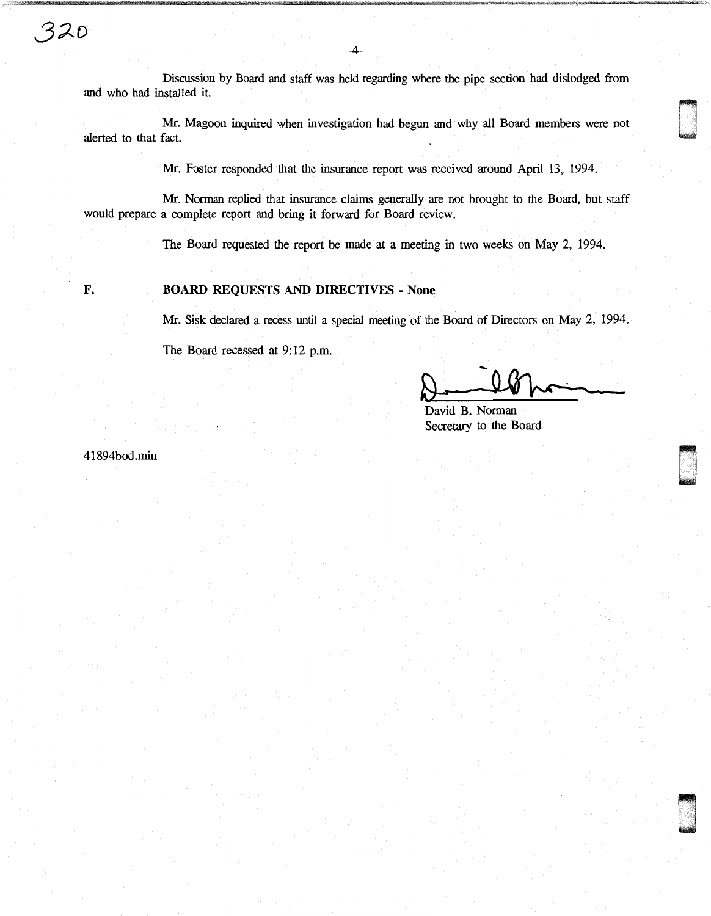Discussion by Board and staff was held regarding where the pipe section had dislodged from and who had installed it.

Mr. Magoon inquired when investigation had begun and why all Board members were not alerted to that fact.

Mr. Foster responded that the insurance report was received around April 13, 1994.

Mr. Norman replied that insurance claims generally are not brought to the Board, but staff would prepare a complete report and bring it forward for Board review.

The Board requested the report be made at a meeting in two weeks on May 2, 1994.

**F.** 

320

### **BOARD REQUESTS AND DIRECTIVES - None**

Mr. Sisk declared a recess until a special meeting of the Board of Directors on May 2, 1994.

The Board recessed at 9:12 p.m.

n u

n ' I /iJ ~

David **B.** Norman Secretary to the Board

41894bod.min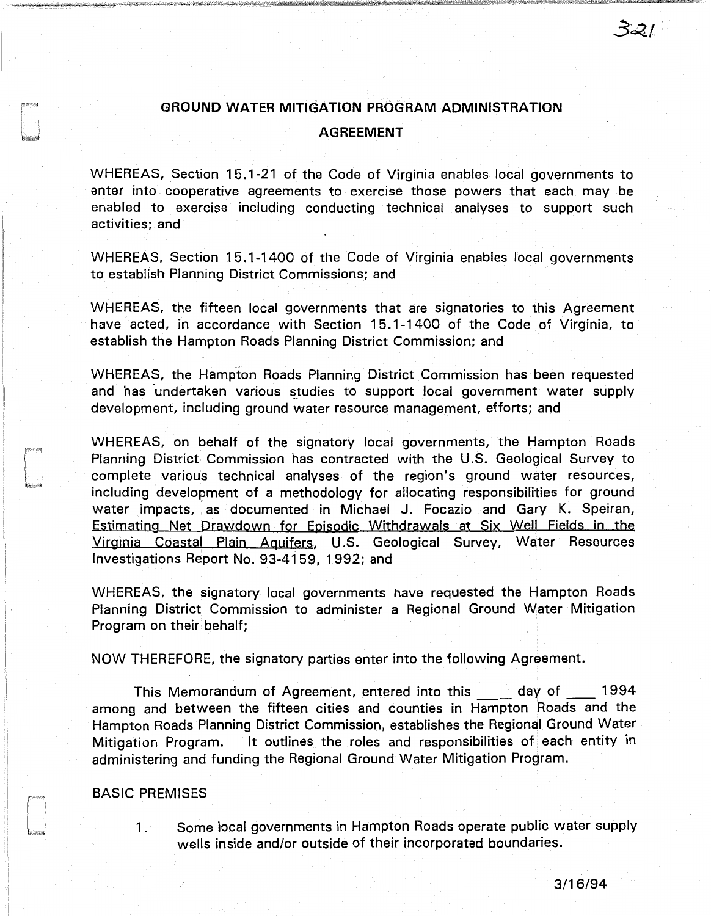# GROUND WATER MITIGATION PROGRAM ADMINISTRATION AGREEMENT

WHEREAS, Section 15.1-21 of the Code of Virginia enables local governments to enter into cooperative agreements to exercise those powers that each may be enabled to exercise including conducting technical analyses to support such activities; and

WHEREAS, Section 15.1-1400 of the Code of Virginia enables local governments to establish Planning District Commissions; and

WHEREAS, the fifteen local governments that are signatories to this Agreement have acted, in accordance with Section 15.1-1400 of the Code of Virginia, to establish the Hampton Roads Planning District Commission; and

WHEREAS, the Hampton Roads Planning District Commission has been requested and has undertaken various studies to support local government water supply development, including ground water resource management, efforts; and

WHEREAS, on behalf of the signatory local governments, the Hampton Roads Planning District Commission has contracted with the U.S. Geological Survey to complete various technical analyses of the region's ground water resources, including development of a methodology for allocating responsibilities for ground water impacts, as documented in Michael J. Focazio and Gary K. Speiran, Estimating Net Drawdown for Episodic Withdrawals at Six Well Fields in the Virginia Coastal Plain Agujfers, U.S. Geological Survey, Water Resources Investigations Report No. 93-4159, 1992; and

WHEREAS, the signatory local governments have requested the Hampton Roads Planning District Commission to administer a Regional Ground Water Mitigation Program on their behalf;

NOW THEREFORE, the signatory parties enter into the following Agreement.

This Memorandum of Agreement, entered into this day of 1994 among and between the fifteen cities and counties in Hampton Roads and the Hampton Roads Planning District Commission, establishes the Regional Ground Water Mitigation Program. It outlines the roles and responsibilities of each entity in administering and funding the Regional Ground Water Mitigation Program.

### BASIC PREMISES

J

1. Some local governments in Hampton Roads operate public water supply wells inside and/or outside of their incorporated boundaries.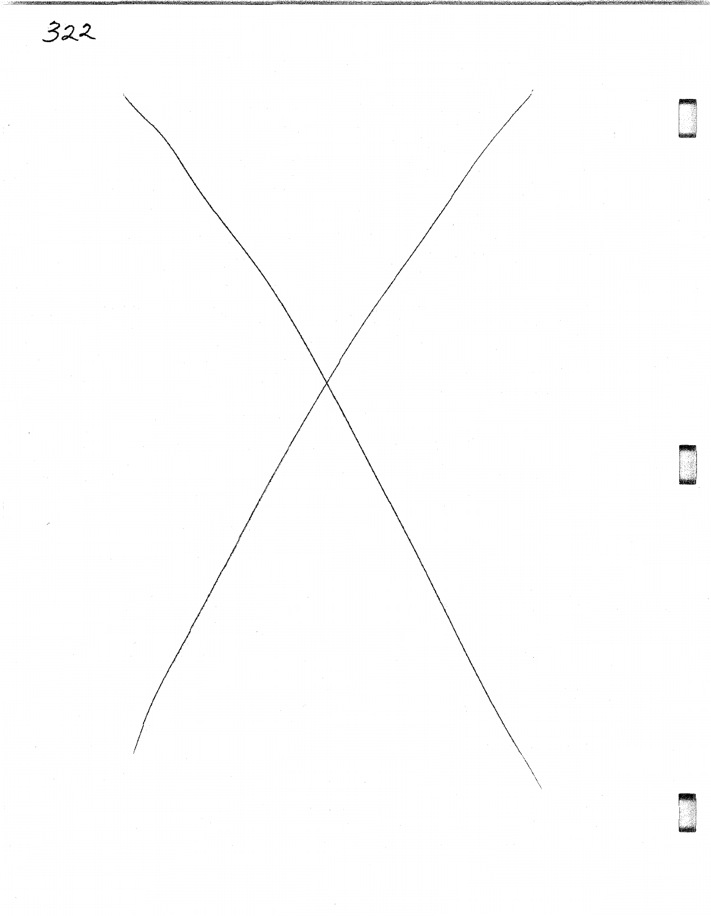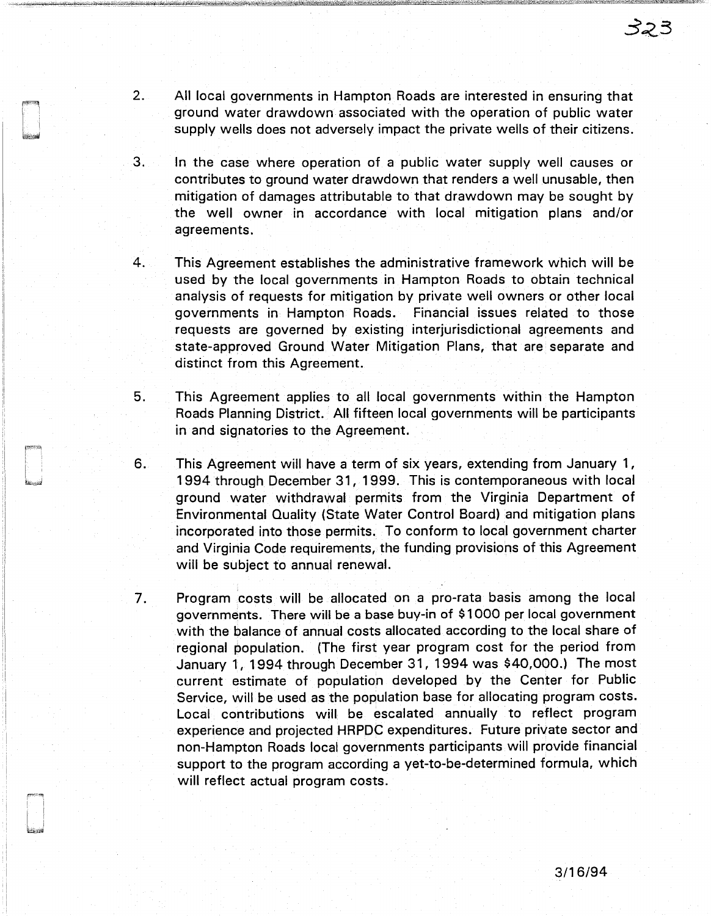- 2. All local governments in Hampton Roads are interested in ensuring that ground water drawdown associated with the operation of public water supply wells does not adversely impact the private wells of their citizens.
- 3. In the case where operation of a public water supply well causes or contributes to ground water drawdown that renders a well unusable, then mitigation of damages attributable to that drawdown may be sought by the well owner in accordance with local mitigation plans and/or agreements.
- 4. This Agreement establishes the administrative framework which will be used by the local governments in Hampton Roads to obtain technical analysis of requests for mitigation by private well owners or other local governments in Hampton Roads. Financial issues related to those requests are governed by existing interjurisdictional agreements and state-approved Ground Water Mitigation Plans, that are separate and distinct from this Agreement.
- 5. This Agreement applies to all local governments within the Hampton Roads Planning District. All fifteen local governments will be participants in and signatories to the Agreement.
- 6. This Agreement will have a term of six years, extending from January 1, 1994 through December 31, 1999. This is contemporaneous with local ground water withdrawal permits from the Virginia Department of Environmental Quality (State Water Control Board) and mitigation plans incorporated into those permits. To conform to local government charter and Virginia Code requirements, the funding provisions of this Agreement will be subject to annual renewal.
- 7. Program costs will be allocated on a pro-rata basis among the local governments. There will be a base buy-in of \$1 000 per local government with the balance of annual costs allocated according to the local share of regional population. (The first year program cost for the period from January 1, 1 994 through December 31, 1994 was \$40,000.) The most current estimate of population developed by the Center for Public Service, will be used as the population base for allocating program costs. Local contributions will be escalated annually to reflect program experience and projected HRPDC expenditures. Future private sector and non-Hampton Roads local governments participants will provide financial support to the program according a yet-to-be-determined formula, which will reflect actual program costs.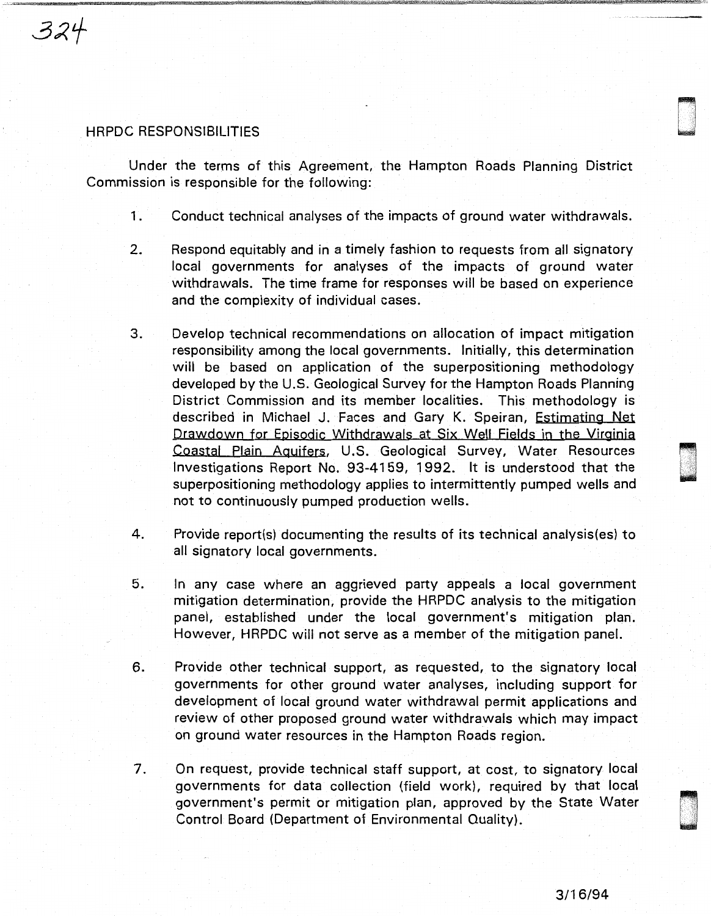324

### HRPDC RESPONSIBILITIES

Under the terms of this Agreement, the Hampton Roads Planning District Commission is responsible for the following:

- 1 . Conduct technical analyses of the impacts of ground water withdrawals.
- 2. Respond equitably and in a timely fashion to requests from all signatory local governments for analyses of the impacts of ground water withdrawals. The time frame for responses will be based on experience and the complexity of individual cases.
- 3. Develop technical recommendations on allocation of impact mitigation responsibility among the local governments. Initially, this determination will be based on application of the superpositioning methodology developed by the U.S. Geological Survey for the Hampton Roads Planning District Commission and its member localities. This methodology is described in Michael J. Faces and Gary K. Speiran, Estimating Net Drawdown for Episodic Withdrawals at Six Well Fields in the Virginia Coastal Plain Aguifers, U.S. Geological Survey, Water Resources Investigations Report No. 93-4159, 1992. It is understood that the superpositioning methodology applies to intermittently pumped wells and not to continuously pumped production wells.
- 4. Provide report(s) documenting the results of its technical analysis(es) to all signatory local governments.
- 5. In any case where an aggrieved party appeals a local government mitigation determination, provide the HRPDC analysis to the mitigation panel, established under the local government's mitigation plan. However, HRPDC will not serve as a member of the mitigation panel.
- 6. Provide other technical support, as requested, to the signatory local governments for other ground water analyses, including support for development of local ground water withdrawal permit applications and review of other proposed ground water withdrawals which may impact on ground water resources in the Hampton Roads region.
- 7. On request, provide technical staff support, at cost, to signatory local governments for data collection (field work), required by that local government's permit or mitigation plan, approved by the State Water Control Board (Department of Environmental Quality).

nan<br>Digas

G .<br>G .<br>G . ..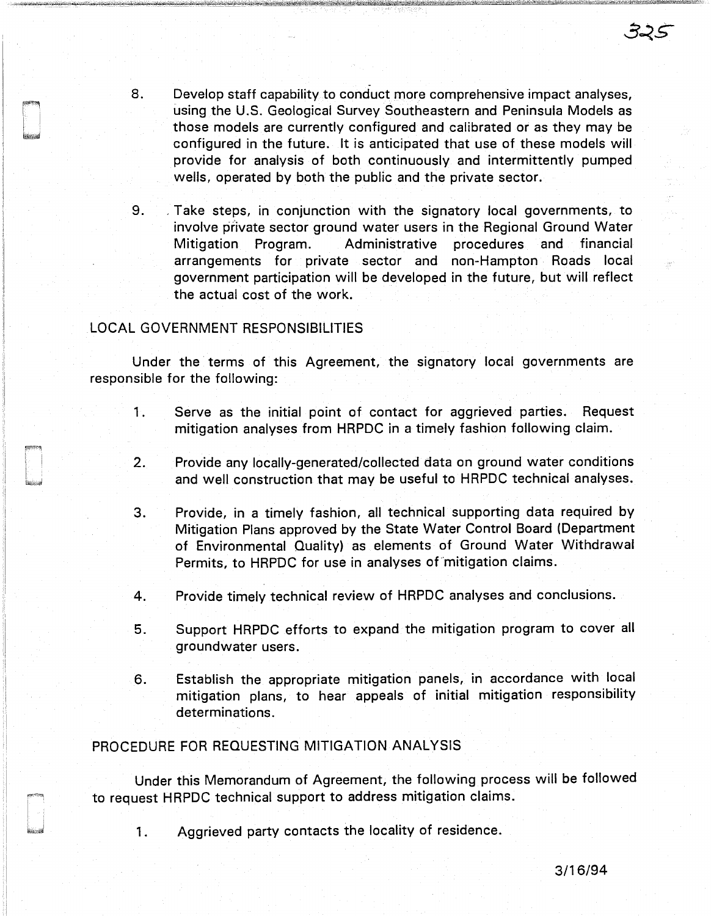- 8. Develop staff capability to conduct more comprehensive impact analyses, using the U.S. Geological Survey Southeastern and Peninsula Models as those models are currently configured and calibrated or as they may be configured in the future. It is anticipated that use of these models will provide for analysis of both continuously and intermittently pumped wells, operated by both the public and the private sector.
- 9. , Take steps, in conjunction with the signatory local governments, to involve pfivate sector ground water users in the Regional Ground Water Mitigation Program. Administrative procedures and financial arrangements for private sector and non-Hampton Roads local government participation will be developed in the future, but will reflect the actual cost of the work.

### LOCAL GOVERNMENT RESPONSIBILITIES

Under the terms of this Agreement, the signatory local governments are responsible for the following:

- 1. Serve as the initial point of contact for aggrieved parties. Request mitigation analyses from HRPDC in a timely fashion following claim.
- 2. Provide any locally-generated/collected data on ground water conditions and well construction that may be useful to HRPDC technical analyses.
- 3. Provide, in a timely fashion, all technical supporting data required by Mitigation Plans approved by the State Water Control Board (Department of Environmental Quality) as elements of Ground Water Withdrawal Permits, to HRPDC for use in analyses of mitigation claims.
- 4. Provide timely technical review of HRPDC analyses and conclusions.
- 5. Support HRPDC efforts to expand the mitigation program to cover all groundwater users.
- 6. Establish the appropriate mitigation panels, in accordance with local mitigation plans, to hear appeals of initial mitigation responsibility determinations.

### PROCEDURE FOR REQUESTING MITIGATION ANALYSIS

 $\vert$ l J

Under this Memorandum of Agreement, the following process will be followed to request HRPDC technical support to address mitigation claims.

1. Aggrieved party contacts the locality of residence.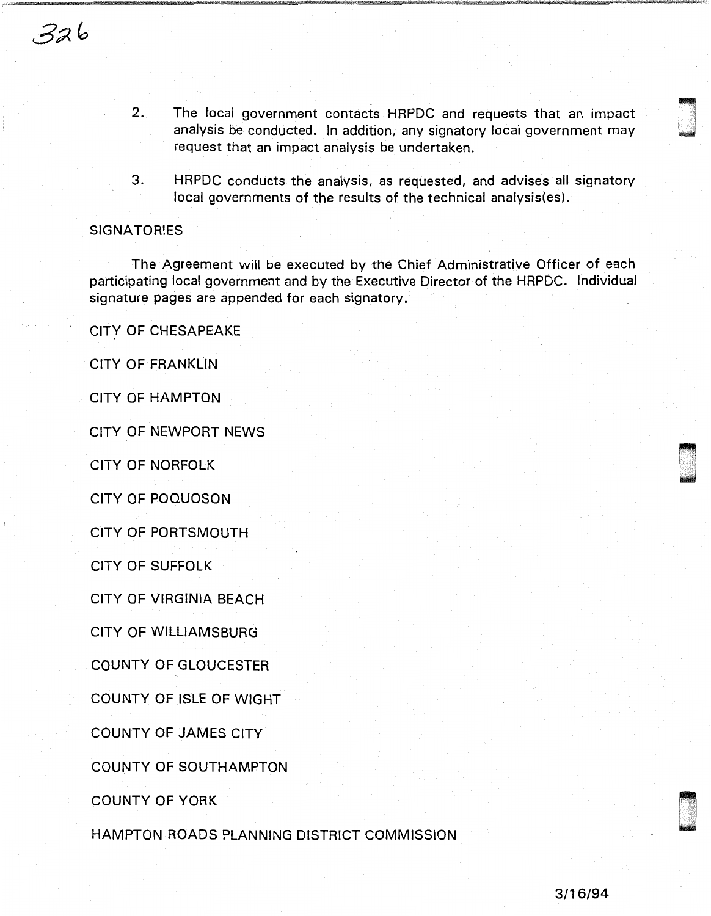- 2. The local government contacts HRPDC and requests that an impact analysis be conducted. In addition, any signatory local government may request that an impact analysis be undertaken.
- 3. HRPDC conducts the analysis, as requested, and advises all signatory local governments of the results of the technical analysis(es).

## **SIGNATORIES**

The Agreement will be executed by the Chief Administrative Officer of each participating local government and by the Executive Director of the HRPDC. Individual signature pages are appended for each signatory.

CITY OF CHESAPEAKE

CITY OF FRANKLIN

CITY OF HAMPTON

CITY OF NEWPORT NEWS

CITY OF NORFOLK

CITY OF POQUOSON

CITY OF PORTSMOUTH

CITY OF SUFFOLK

CITY OF VIRGINIA BEACH

CITY OF WILLIAMSBURG

COUNTY OF GLOUCESTER

COUNTY OF ISLE OF WIGHT

COUNTY OF JAMES CITY

COUNTY OF SOUTHAMPTON

COUNTY OF YORK

HAMPTON ROADS PLANNING DISTRICT COMMISSION

.D. ··.·······  $\lfloor$  ,  $\rfloor$ i

ri u<br>under

~ u<br>u bi